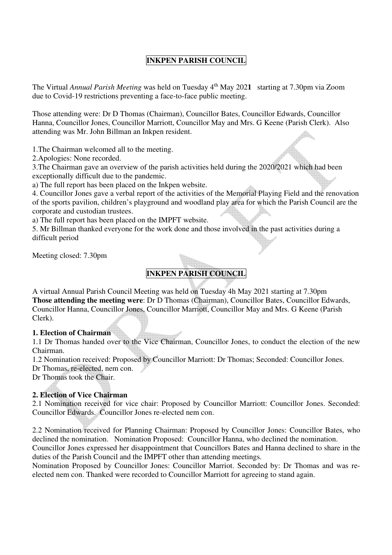# **INKPEN PARISH COUNCIL**

The Virtual *Annual Parish Meeting* was held on Tuesday 4th May 202**1** starting at 7.30pm via Zoom due to Covid-19 restrictions preventing a face-to-face public meeting.

Those attending were: Dr D Thomas (Chairman), Councillor Bates, Councillor Edwards, Councillor Hanna, Councillor Jones, Councillor Marriott, Councillor May and Mrs. G Keene (Parish Clerk). Also attending was Mr. John Billman an Inkpen resident.

1.The Chairman welcomed all to the meeting.

2.Apologies: None recorded.

3.The Chairman gave an overview of the parish activities held during the 2020/2021 which had been exceptionally difficult due to the pandemic.

a) The full report has been placed on the Inkpen website.

4. Councillor Jones gave a verbal report of the activities of the Memorial Playing Field and the renovation of the sports pavilion, children's playground and woodland play area for which the Parish Council are the corporate and custodian trustees.

a) The full report has been placed on the IMPFT website.

5. Mr Billman thanked everyone for the work done and those involved in the past activities during a difficult period

Meeting closed: 7.30pm

# **INKPEN PARISH COUNCIL**

A virtual Annual Parish Council Meeting was held on Tuesday 4h May 2021 starting at 7.30pm **Those attending the meeting were**: Dr D Thomas (Chairman), Councillor Bates, Councillor Edwards, Councillor Hanna, Councillor Jones, Councillor Marriott, Councillor May and Mrs. G Keene (Parish Clerk).

### **1. Election of Chairman**

1.1 Dr Thomas handed over to the Vice Chairman, Councillor Jones, to conduct the election of the new Chairman.

1.2 Nomination received: Proposed by Councillor Marriott: Dr Thomas; Seconded: Councillor Jones. Dr Thomas, re-elected, nem con.

Dr Thomas took the Chair.

### **2. Election of Vice Chairman**

2.1 Nomination received for vice chair: Proposed by Councillor Marriott: Councillor Jones. Seconded: Councillor Edwards. Councillor Jones re-elected nem con.

2.2 Nomination received for Planning Chairman: Proposed by Councillor Jones: Councillor Bates, who declined the nomination. Nomination Proposed: Councillor Hanna, who declined the nomination.

Councillor Jones expressed her disappointment that Councillors Bates and Hanna declined to share in the duties of the Parish Council and the IMPFT other than attending meetings.

Nomination Proposed by Councillor Jones: Councillor Marriot. Seconded by: Dr Thomas and was reelected nem con. Thanked were recorded to Councillor Marriott for agreeing to stand again.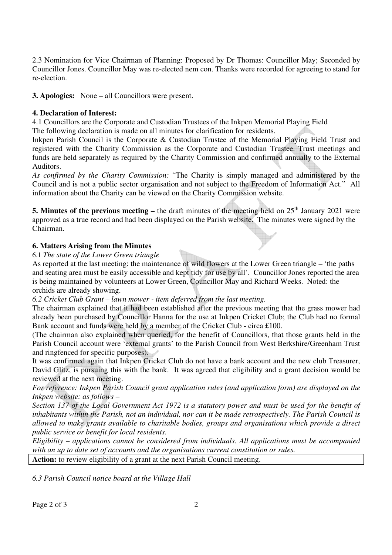2.3 Nomination for Vice Chairman of Planning: Proposed by Dr Thomas: Councillor May; Seconded by Councillor Jones. Councillor May was re-elected nem con. Thanks were recorded for agreeing to stand for re-election.

**3. Apologies:** None – all Councillors were present.

## **4. Declaration of Interest:**

4.1 Councillors are the Corporate and Custodian Trustees of the Inkpen Memorial Playing Field The following declaration is made on all minutes for clarification for residents.

Inkpen Parish Council is the Corporate & Custodian Trustee of the Memorial Playing Field Trust and registered with the Charity Commission as the Corporate and Custodian Trustee. Trust meetings and funds are held separately as required by the Charity Commission and confirmed annually to the External Auditors.

*As confirmed by the Charity Commission:* "The Charity is simply managed and administered by the Council and is not a public sector organisation and not subject to the Freedom of Information Act." All information about the Charity can be viewed on the Charity Commission website.

**5. Minutes of the previous meeting –** the draft minutes of the meeting held on 25<sup>th</sup> January 2021 were approved as a true record and had been displayed on the Parish website. The minutes were signed by the Chairman.

## **6. Matters Arising from the Minutes**

6.1 *The state of the Lower Green triangle*

As reported at the last meeting: the maintenance of wild flowers at the Lower Green triangle – 'the paths and seating area must be easily accessible and kept tidy for use by all'. Councillor Jones reported the area is being maintained by volunteers at Lower Green, Councillor May and Richard Weeks. Noted: the orchids are already showing.

*6.2 Cricket Club Grant – lawn mower - item deferred from the last meeting.* 

The chairman explained that it had been established after the previous meeting that the grass mower had already been purchased by Councillor Hanna for the use at Inkpen Cricket Club; the Club had no formal Bank account and funds were held by a member of the Cricket Club - circa £100.

(The chairman also explained when queried, for the benefit of Councillors, that those grants held in the Parish Council account were 'external grants' to the Parish Council from West Berkshire/Greenham Trust and ringfenced for specific purposes).

It was confirmed again that Inkpen Cricket Club do not have a bank account and the new club Treasurer, David Glitz, is pursuing this with the bank. It was agreed that eligibility and a grant decision would be reviewed at the next meeting.

*For reference: Inkpen Parish Council grant application rules (and application form) are displayed on the Inkpen website: as follows –* 

*Section 137 of the Local Government Act 1972 is a statutory power and must be used for the benefit of inhabitants within the Parish, not an individual, nor can it be made retrospectively. The Parish Council is allowed to make grants available to charitable bodies, groups and organisations which provide a direct public service or benefit for local residents.* 

*Eligibility – applications cannot be considered from individuals. All applications must be accompanied with an up to date set of accounts and the organisations current constitution or rules.* 

**Action:** to review eligibility of a grant at the next Parish Council meeting.

*6.3 Parish Council notice board at the Village Hall*